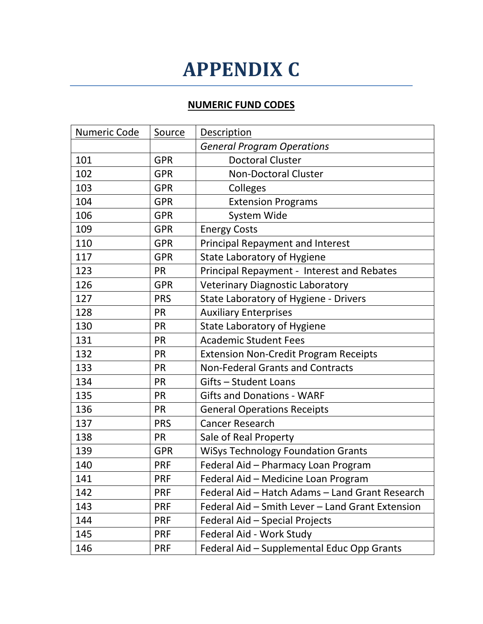## **APPENDIX C**

## **NUMERIC FUND CODES**

| Numeric Code | Source     | <b>Description</b>                               |
|--------------|------------|--------------------------------------------------|
|              |            | <b>General Program Operations</b>                |
| 101          | <b>GPR</b> | <b>Doctoral Cluster</b>                          |
| 102          | <b>GPR</b> | <b>Non-Doctoral Cluster</b>                      |
| 103          | <b>GPR</b> | Colleges                                         |
| 104          | <b>GPR</b> | <b>Extension Programs</b>                        |
| 106          | <b>GPR</b> | System Wide                                      |
| 109          | <b>GPR</b> | <b>Energy Costs</b>                              |
| 110          | <b>GPR</b> | <b>Principal Repayment and Interest</b>          |
| 117          | <b>GPR</b> | <b>State Laboratory of Hygiene</b>               |
| 123          | <b>PR</b>  | Principal Repayment - Interest and Rebates       |
| 126          | <b>GPR</b> | <b>Veterinary Diagnostic Laboratory</b>          |
| 127          | <b>PRS</b> | State Laboratory of Hygiene - Drivers            |
| 128          | <b>PR</b>  | <b>Auxiliary Enterprises</b>                     |
| 130          | PR         | <b>State Laboratory of Hygiene</b>               |
| 131          | PR         | <b>Academic Student Fees</b>                     |
| 132          | PR         | <b>Extension Non-Credit Program Receipts</b>     |
| 133          | PR         | <b>Non-Federal Grants and Contracts</b>          |
| 134          | PR         | Gifts - Student Loans                            |
| 135          | <b>PR</b>  | <b>Gifts and Donations - WARF</b>                |
| 136          | <b>PR</b>  | <b>General Operations Receipts</b>               |
| 137          | <b>PRS</b> | <b>Cancer Research</b>                           |
| 138          | <b>PR</b>  | Sale of Real Property                            |
| 139          | <b>GPR</b> | <b>WiSys Technology Foundation Grants</b>        |
| 140          | <b>PRF</b> | Federal Aid - Pharmacy Loan Program              |
| 141          | <b>PRF</b> | Federal Aid - Medicine Loan Program              |
| 142          | <b>PRF</b> | Federal Aid - Hatch Adams - Land Grant Research  |
| 143          | <b>PRF</b> | Federal Aid - Smith Lever - Land Grant Extension |
| 144          | <b>PRF</b> | Federal Aid - Special Projects                   |
| 145          | <b>PRF</b> | Federal Aid - Work Study                         |
| 146          | <b>PRF</b> | Federal Aid - Supplemental Educ Opp Grants       |